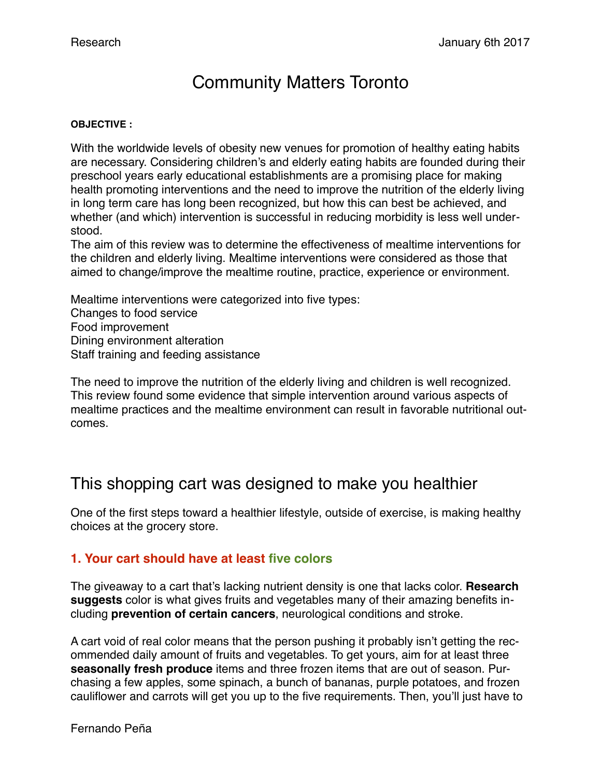# Community Matters Toronto

#### **OBJECTIVE :**

With the worldwide levels of obesity new venues for promotion of healthy eating habits are necessary. Considering children's and elderly eating habits are founded during their preschool years early educational establishments are a promising place for making health promoting interventions and the need to improve the nutrition of the elderly living in long term care has long been recognized, but how this can best be achieved, and whether (and which) intervention is successful in reducing morbidity is less well understood.

The aim of this review was to determine the effectiveness of mealtime interventions for the children and elderly living. Mealtime interventions were considered as those that aimed to change/improve the mealtime routine, practice, experience or environment.

Mealtime interventions were categorized into five types: Changes to food service Food improvement Dining environment alteration Staff training and feeding assistance

The need to improve the nutrition of the elderly living and children is well recognized. This review found some evidence that simple intervention around various aspects of mealtime practices and the mealtime environment can result in favorable nutritional outcomes.

## This shopping cart was designed to make you healthier

One of the first steps toward a healthier lifestyle, outside of exercise, is making healthy choices at the grocery store.

### **1. Your cart should have at least five colors**

The giveaway to a cart that's lacking nutrient density is one that lacks color. **Research suggests** color is what gives fruits and vegetables many of their amazing benefits including **prevention of certain cancers**, neurological conditions and stroke.

A cart void of real color means that the person pushing it probably isn't getting the recommended daily amount of fruits and vegetables. To get yours, aim for at least three **seasonally fresh produce** items and three frozen items that are out of season. Purchasing a few apples, some spinach, a bunch of bananas, purple potatoes, and frozen cauliflower and carrots will get you up to the five requirements. Then, you'll just have to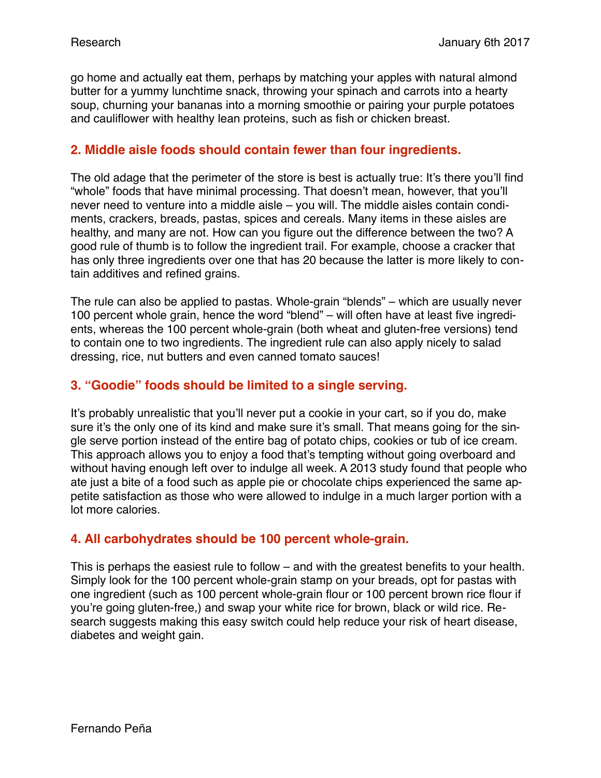go home and actually eat them, perhaps by matching your apples with natural almond butter for a yummy lunchtime snack, throwing your spinach and carrots into a hearty soup, churning your bananas into a morning smoothie or pairing your purple potatoes and cauliflower with healthy lean proteins, such as fish or chicken breast.

### **2. Middle aisle foods should contain fewer than four ingredients.**

The old adage that the perimeter of the store is best is actually true: It's there you'll find "whole" foods that have minimal processing. That doesn't mean, however, that you'll never need to venture into a middle aisle – you will. The middle aisles contain condiments, crackers, breads, pastas, spices and cereals. Many items in these aisles are healthy, and many are not. How can you figure out the difference between the two? A good rule of thumb is to follow the ingredient trail. For example, choose a cracker that has only three ingredients over one that has 20 because the latter is more likely to contain additives and refined grains.

The rule can also be applied to pastas. Whole-grain "blends" – which are usually never 100 percent whole grain, hence the word "blend" – will often have at least five ingredients, whereas the 100 percent whole-grain (both wheat and gluten-free versions) tend to contain one to two ingredients. The ingredient rule can also apply nicely to salad dressing, rice, nut butters and even canned tomato sauces!

### **3. "Goodie" foods should be limited to a single serving.**

It's probably unrealistic that you'll never put a cookie in your cart, so if you do, make sure it's the only one of its kind and make sure it's small. That means going for the single serve portion instead of the entire bag of potato chips, cookies or tub of ice cream. This approach allows you to enjoy a food that's tempting without going overboard and without having enough left over to indulge all week. A 2013 study found that people who ate just a bite of a food such as apple pie or chocolate chips experienced the same appetite satisfaction as those who were allowed to indulge in a much larger portion with a lot more calories.

### **4. All carbohydrates should be 100 percent whole-grain.**

This is perhaps the easiest rule to follow – and with the greatest benefits to your health. Simply look for the 100 percent whole-grain stamp on your breads, opt for pastas with one ingredient (such as 100 percent whole-grain flour or 100 percent brown rice flour if you're going gluten-free,) and swap your white rice for brown, black or wild rice. Research suggests making this easy switch could help reduce your risk of heart disease, diabetes and weight gain.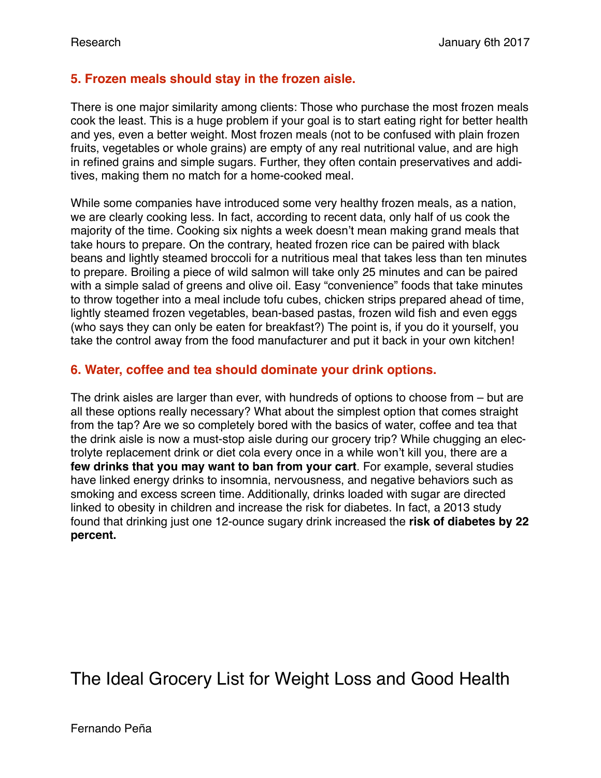### **5. Frozen meals should stay in the frozen aisle.**

There is one major similarity among clients: Those who purchase the most frozen meals cook the least. This is a huge problem if your goal is to start eating right for better health and yes, even a better weight. Most frozen meals (not to be confused with plain frozen fruits, vegetables or whole grains) are empty of any real nutritional value, and are high in refined grains and simple sugars. Further, they often contain preservatives and additives, making them no match for a home-cooked meal.

While some companies have introduced some very healthy frozen meals, as a nation, we are clearly cooking less. In fact, according to recent data, only half of us cook the majority of the time. Cooking six nights a week doesn't mean making grand meals that take hours to prepare. On the contrary, heated frozen rice can be paired with black beans and lightly steamed broccoli for a nutritious meal that takes less than ten minutes to prepare. Broiling a piece of wild salmon will take only 25 minutes and can be paired with a simple salad of greens and olive oil. Easy "convenience" foods that take minutes to throw together into a meal include tofu cubes, chicken strips prepared ahead of time, lightly steamed frozen vegetables, bean-based pastas, frozen wild fish and even eggs (who says they can only be eaten for breakfast?) The point is, if you do it yourself, you take the control away from the food manufacturer and put it back in your own kitchen!

### **6. Water, coffee and tea should dominate your drink options.**

The drink aisles are larger than ever, with hundreds of options to choose from – but are all these options really necessary? What about the simplest option that comes straight from the tap? Are we so completely bored with the basics of water, coffee and tea that the drink aisle is now a must-stop aisle during our grocery trip? While chugging an electrolyte replacement drink or diet cola every once in a while won't kill you, there are a **few drinks that you may want to ban from your cart**. For example, several studies have linked energy drinks to insomnia, nervousness, and negative behaviors such as smoking and excess screen time. Additionally, drinks loaded with sugar are directed linked to obesity in children and increase the risk for diabetes. In fact, a 2013 study found that drinking just one 12-ounce sugary drink increased the **risk of diabetes by 22 percent.**

# The Ideal Grocery List for Weight Loss and Good Health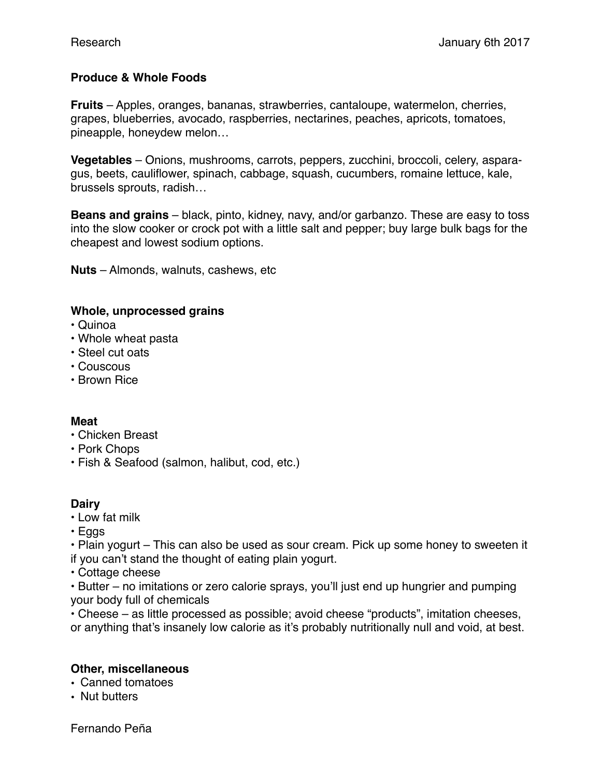### **Produce & Whole Foods**

**Fruits** – Apples, oranges, bananas, strawberries, cantaloupe, watermelon, cherries, grapes, blueberries, avocado, raspberries, nectarines, peaches, apricots, tomatoes, pineapple, honeydew melon…

**Vegetables** – Onions, mushrooms, carrots, peppers, zucchini, broccoli, celery, asparagus, beets, cauliflower, spinach, cabbage, squash, cucumbers, romaine lettuce, kale, brussels sprouts, radish…

**Beans and grains** – black, pinto, kidney, navy, and/or garbanzo. These are easy to toss into the slow cooker or crock pot with a little salt and pepper; buy large bulk bags for the cheapest and lowest sodium options.

**Nuts** – Almonds, walnuts, cashews, etc

### **Whole, unprocessed grains**

- Quinoa
- Whole wheat pasta
- Steel cut oats
- Couscous
- Brown Rice

### **Meat**

- Chicken Breast
- Pork Chops
- Fish & Seafood (salmon, halibut, cod, etc.)

### **Dairy**

- Low fat milk
- Eggs

• Plain yogurt – This can also be used as sour cream. Pick up some honey to sweeten it if you can't stand the thought of eating plain yogurt.

• Cottage cheese

• Butter – no imitations or zero calorie sprays, you'll just end up hungrier and pumping your body full of chemicals

• Cheese – as little processed as possible; avoid cheese "products", imitation cheeses, or anything that's insanely low calorie as it's probably nutritionally null and void, at best.

### **Other, miscellaneous**

- Canned tomatoes
- Nut butters

Fernando Peña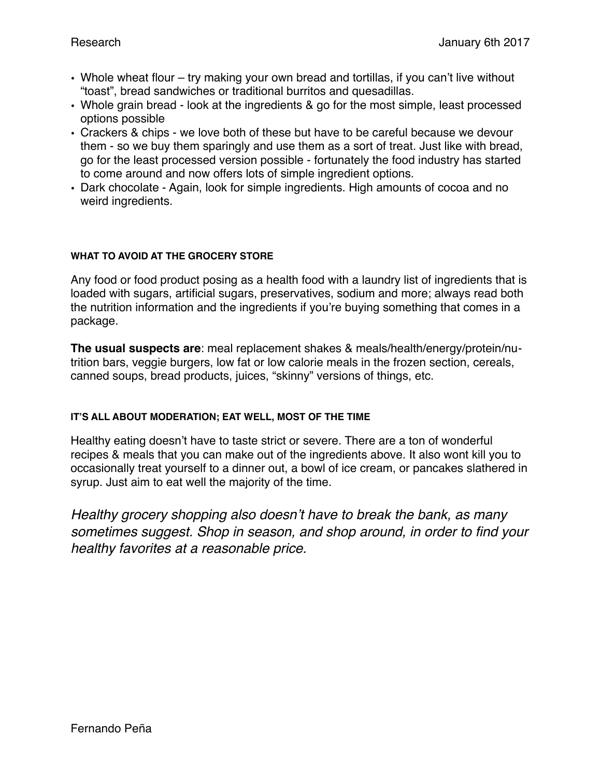- Whole wheat flour try making your own bread and tortillas, if you can't live without "toast", bread sandwiches or traditional burritos and quesadillas.
- Whole grain bread look at the ingredients & go for the most simple, least processed options possible
- Crackers & chips we love both of these but have to be careful because we devour them - so we buy them sparingly and use them as a sort of treat. Just like with bread, go for the least processed version possible - fortunately the food industry has started to come around and now offers lots of simple ingredient options.
- Dark chocolate Again, look for simple ingredients. High amounts of cocoa and no weird ingredients.

### **WHAT TO AVOID AT THE GROCERY STORE**

Any food or food product posing as a health food with a laundry list of ingredients that is loaded with sugars, artificial sugars, preservatives, sodium and more; always read both the nutrition information and the ingredients if you're buying something that comes in a package.

**The usual suspects are**: meal replacement shakes & meals/health/energy/protein/nutrition bars, veggie burgers, low fat or low calorie meals in the frozen section, cereals, canned soups, bread products, juices, "skinny" versions of things, etc.

#### **IT'S ALL ABOUT MODERATION; EAT WELL, MOST OF THE TIME**

Healthy eating doesn't have to taste strict or severe. There are a ton of wonderful recipes & meals that you can make out of the ingredients above. It also wont kill you to occasionally treat yourself to a dinner out, a bowl of ice cream, or pancakes slathered in syrup. Just aim to eat well the majority of the time.

*Healthy grocery shopping also doesn't have to break the bank, as many sometimes suggest. Shop in season, and shop around, in order to find your healthy favorites at a reasonable price.*